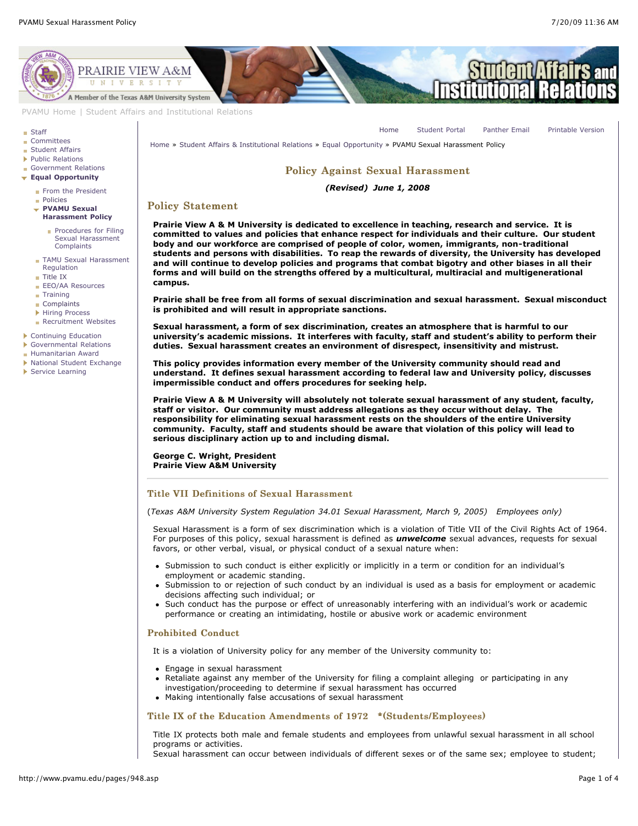[Home](http://www.pvamu.edu/pages/1.asp) [Student Portal](http://panthertracks.pvamu.edu/) [Panther Email](http://www.pvamu.edu/pages/1740.asp) [Printable Version](http://www.pvamu.edu/print/948.asp)



[PVAMU Home](http://www.pvamu.edu/pages/1.asp) | [Student Affairs and Institutional Relations](http://www.pvamu.edu/pages/114.asp)

#### **[Staff](http://www.pvamu.edu/pages/923.asp)**

- **[Committees](http://www.pvamu.edu/pages/925.asp)**
- **[Student Affairs](http://www.pvamu.edu/pages/1441.asp)**
- ▶ [Public Relations](http://www.pvamu.edu/pages/926.asp)
- [Government Relations](http://www.pvamu.edu/pages/927.asp)
- **[Equal Opportunity](http://www.pvamu.edu/pages/929.asp)**
	- [From the President](http://www.pvamu.edu/pages/1125.asp)
	- [Policies](http://www.pvamu.edu/pages/945.asp)
	- **PVAMU Sexual [Harassment Policy](http://www.pvamu.edu/pages/948.asp)**
		- **[Procedures for Filing](http://www.pvamu.edu/pages/5118.asp)** Sexual Harassment **Complaints**
	- [TAMU Sexual Harassment](http://www.pvamu.edu/pages/1121.asp) Regulation
	- [Title IX](http://www.pvamu.edu/pages/947.asp)
	- **[EEO/AA Resources](http://www.pvamu.edu/pages/1122.asp)** [Training](http://www.pvamu.edu/pages/1123.asp)
	-
	- [Complaints](http://www.pvamu.edu/pages/1124.asp)
	- **[Hiring Process](http://www.pvamu.edu/pages/1488.asp)**
	- [Recruitment Websites](http://www.pvamu.edu/pages/1487.asp)

[Continuing Education](http://www.pvamu.edu/pages/2034.asp)

- [Governmental Relations](http://www.pvamu.edu/pages/5318.asp)
- [Humanitarian Award](http://www.pvamu.edu/pages/3916.asp)
- ▶ [National Student Exchange](http://www.pvamu.edu/pages/3196.asp)
- [Service Learning](http://www.pvamu.edu/pages/4212.asp)

[Home](http://www.pvamu.edu/pages/1.asp) » [Student Affairs & Institutional Relations](http://www.pvamu.edu/pages/114.asp) » [Equal Opportunity](http://www.pvamu.edu/pages/929.asp) » PVAMU Sexual Harassment Policy

# Policy Against Sexual Harassment

### *(Revised) June 1, 2008*

# Policy Statement

**Prairie View A & M University is dedicated to excellence in teaching, research and service. It is committed to values and policies that enhance respect for individuals and their culture. Our student body and our workforce are comprised of people of color, women, immigrants, non-traditional students and persons with disabilities. To reap the rewards of diversity, the University has developed and will continue to develop policies and programs that combat bigotry and other biases in all their forms and will build on the strengths offered by a multicultural, multiracial and multigenerational campus.**

**Prairie shall be free from all forms of sexual discrimination and sexual harassment. Sexual misconduct is prohibited and will result in appropriate sanctions.**

**Sexual harassment, a form of sex discrimination, creates an atmosphere that is harmful to our university's academic missions. It interferes with faculty, staff and student's ability to perform their duties. Sexual harassment creates an environment of disrespect, insensitivity and mistrust.**

**This policy provides information every member of the University community should read and understand. It defines sexual harassment according to federal law and University policy, discusses impermissible conduct and offers procedures for seeking help.**

**Prairie View A & M University will absolutely not tolerate sexual harassment of any student, faculty, staff or visitor. Our community must address allegations as they occur without delay. The responsibility for eliminating sexual harassment rests on the shoulders of the entire University community. Faculty, staff and students should be aware that violation of this policy will lead to serious disciplinary action up to and including dismal.**

**George C. Wright, President Prairie View A&M University**

# Title VII Definitions of Sexual Harassment

(*Texas A&M University System Regulation 34.01 Sexual Harassment, March 9, 2005) Employees only)*

Sexual Harassment is a form of sex discrimination which is a violation of Title VII of the Civil Rights Act of 1964. For purposes of this policy, sexual harassment is defined as *unwelcome* sexual advances, requests for sexual favors, or other verbal, visual, or physical conduct of a sexual nature when:

- Submission to such conduct is either explicitly or implicitly in a term or condition for an individual's employment or academic standing.
- Submission to or rejection of such conduct by an individual is used as a basis for employment or academic decisions affecting such individual; or
- Such conduct has the purpose or effect of unreasonably interfering with an individual's work or academic performance or creating an intimidating, hostile or abusive work or academic environment

#### Prohibited Conduct

It is a violation of University policy for any member of the University community to:

- Engage in sexual harassment
- Retaliate against any member of the University for filing a complaint alleging or participating in any investigation/proceeding to determine if sexual harassment has occurred
- Making intentionally false accusations of sexual harassment

### Title IX of the Education Amendments of  $1972$  \*(Students/Employees)

Title IX protects both male and female students and employees from unlawful sexual harassment in all school programs or activities.

Sexual harassment can occur between individuals of different sexes or of the same sex; employee to student;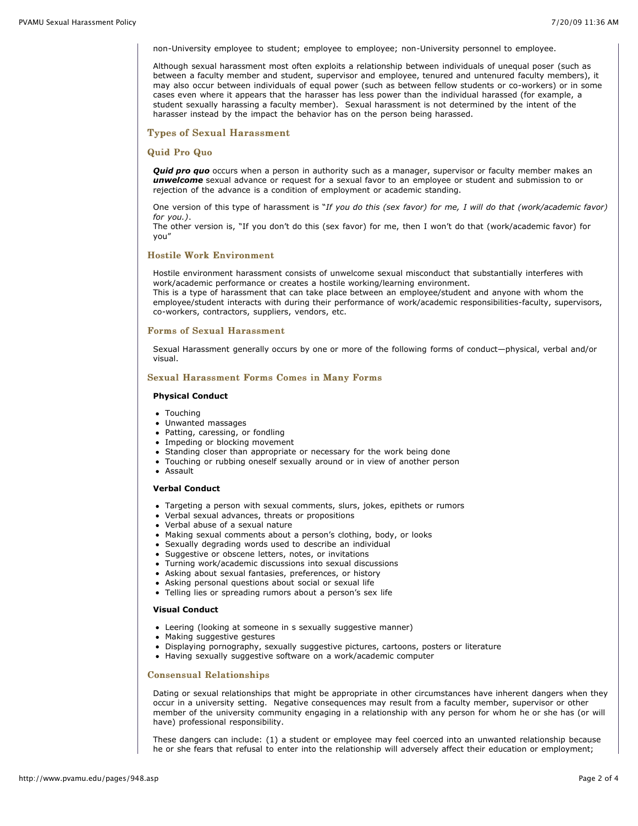non-University employee to student; employee to employee; non-University personnel to employee.

Although sexual harassment most often exploits a relationship between individuals of unequal poser (such as between a faculty member and student, supervisor and employee, tenured and untenured faculty members), it may also occur between individuals of equal power (such as between fellow students or co-workers) or in some cases even where it appears that the harasser has less power than the individual harassed (for example, a student sexually harassing a faculty member). Sexual harassment is not determined by the intent of the harasser instead by the impact the behavior has on the person being harassed.

### **Types of Sexual Harassment**

### Quid Pro Quo

**Quid pro quo** occurs when a person in authority such as a manager, supervisor or faculty member makes an *unwelcome* sexual advance or request for a sexual favor to an employee or student and submission to or rejection of the advance is a condition of employment or academic standing.

One version of this type of harassment is "*If you do this (sex favor) for me, I will do that (work/academic favor) for you.)*.

The other version is, "If you don't do this (sex favor) for me, then I won't do that (work/academic favor) for you"

### Hostile Work Environment

Hostile environment harassment consists of unwelcome sexual misconduct that substantially interferes with work/academic performance or creates a hostile working/learning environment.

This is a type of harassment that can take place between an employee/student and anyone with whom the employee/student interacts with during their performance of work/academic responsibilities-faculty, supervisors, co-workers, contractors, suppliers, vendors, etc.

### Forms of Sexual Harassment

Sexual Harassment generally occurs by one or more of the following forms of conduct—physical, verbal and/or visual.

### Sexual Harassment Forms Comes in Many Forms

#### **Physical Conduct**

- Touching
- Unwanted massages
- Patting, caressing, or fondling
- Impeding or blocking movement
- Standing closer than appropriate or necessary for the work being done
- Touching or rubbing oneself sexually around or in view of another person
- Assault

## **Verbal Conduct**

- Targeting a person with sexual comments, slurs, jokes, epithets or rumors
- Verbal sexual advances, threats or propositions
- Verbal abuse of a sexual nature
- Making sexual comments about a person's clothing, body, or looks
- Sexually degrading words used to describe an individual
- Suggestive or obscene letters, notes, or invitations
- Turning work/academic discussions into sexual discussions
- Asking about sexual fantasies, preferences, or history
- Asking personal questions about social or sexual life
- Telling lies or spreading rumors about a person's sex life

#### **Visual Conduct**

- Leering (looking at someone in s sexually suggestive manner)
- Making suggestive gestures
- Displaying pornography, sexually suggestive pictures, cartoons, posters or literature
- Having sexually suggestive software on a work/academic computer

#### Consensual Relationships Consensual Relationships

Dating or sexual relationships that might be appropriate in other circumstances have inherent dangers when they occur in a university setting. Negative consequences may result from a faculty member, supervisor or other member of the university community engaging in a relationship with any person for whom he or she has (or will have) professional responsibility.

These dangers can include: (1) a student or employee may feel coerced into an unwanted relationship because he or she fears that refusal to enter into the relationship will adversely affect their education or employment;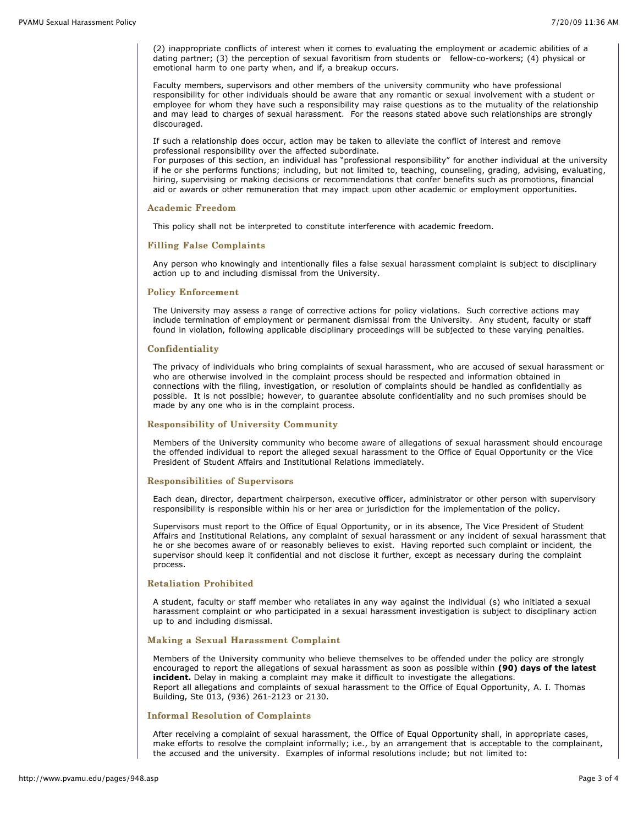(2) inappropriate conflicts of interest when it comes to evaluating the employment or academic abilities of a dating partner; (3) the perception of sexual favoritism from students or fellow-co-workers; (4) physical or emotional harm to one party when, and if, a breakup occurs.

Faculty members, supervisors and other members of the university community who have professional responsibility for other individuals should be aware that any romantic or sexual involvement with a student or employee for whom they have such a responsibility may raise questions as to the mutuality of the relationship and may lead to charges of sexual harassment. For the reasons stated above such relationships are strongly discouraged.

If such a relationship does occur, action may be taken to alleviate the conflict of interest and remove professional responsibility over the affected subordinate.

For purposes of this section, an individual has "professional responsibility" for another individual at the university if he or she performs functions; including, but not limited to, teaching, counseling, grading, advising, evaluating, hiring, supervising or making decisions or recommendations that confer benefits such as promotions, financial aid or awards or other remuneration that may impact upon other academic or employment opportunities.

#### Academic Freedom

This policy shall not be interpreted to constitute interference with academic freedom.

#### Filling False Complaints Filling False Complaints

Any person who knowingly and intentionally files a false sexual harassment complaint is subject to disciplinary action up to and including dismissal from the University.

# **Policy Enforcement**

The University may assess a range of corrective actions for policy violations. Such corrective actions may include termination of employment or permanent dismissal from the University. Any student, faculty or staff found in violation, following applicable disciplinary proceedings will be subjected to these varying penalties.

#### Confidentiality Confidentiality

The privacy of individuals who bring complaints of sexual harassment, who are accused of sexual harassment or who are otherwise involved in the complaint process should be respected and information obtained in connections with the filing, investigation, or resolution of complaints should be handled as confidentially as possible. It is not possible; however, to guarantee absolute confidentiality and no such promises should be made by any one who is in the complaint process.

# Responsibility of Responsibility of University Community Community

Members of the University community who become aware of allegations of sexual harassment should encourage the offended individual to report the alleged sexual harassment to the Office of Equal Opportunity or the Vice President of Student Affairs and Institutional Relations immediately.

#### Responsibilities of Supervisors

Each dean, director, department chairperson, executive officer, administrator or other person with supervisory responsibility is responsible within his or her area or jurisdiction for the implementation of the policy.

Supervisors must report to the Office of Equal Opportunity, or in its absence, The Vice President of Student Affairs and Institutional Relations, any complaint of sexual harassment or any incident of sexual harassment that he or she becomes aware of or reasonably believes to exist. Having reported such complaint or incident, the supervisor should keep it confidential and not disclose it further, except as necessary during the complaint process.

# **Retaliation Prohibited**

A student, faculty or staff member who retaliates in any way against the individual (s) who initiated a sexual harassment complaint or who participated in a sexual harassment investigation is subject to disciplinary action up to and including dismissal.

#### Making a Sexual Harassment Complaint

Members of the University community who believe themselves to be offended under the policy are strongly encouraged to report the allegations of sexual harassment as soon as possible within **(90) days of the latest incident.** Delay in making a complaint may make it difficult to investigate the allegations. Report all allegations and complaints of sexual harassment to the Office of Equal Opportunity, A. I. Thomas Building, Ste 013, (936) 261-2123 or 2130.

### Informal Resolution of Complaints

After receiving a complaint of sexual harassment, the Office of Equal Opportunity shall, in appropriate cases, make efforts to resolve the complaint informally; i.e., by an arrangement that is acceptable to the complainant, the accused and the university. Examples of informal resolutions include; but not limited to: